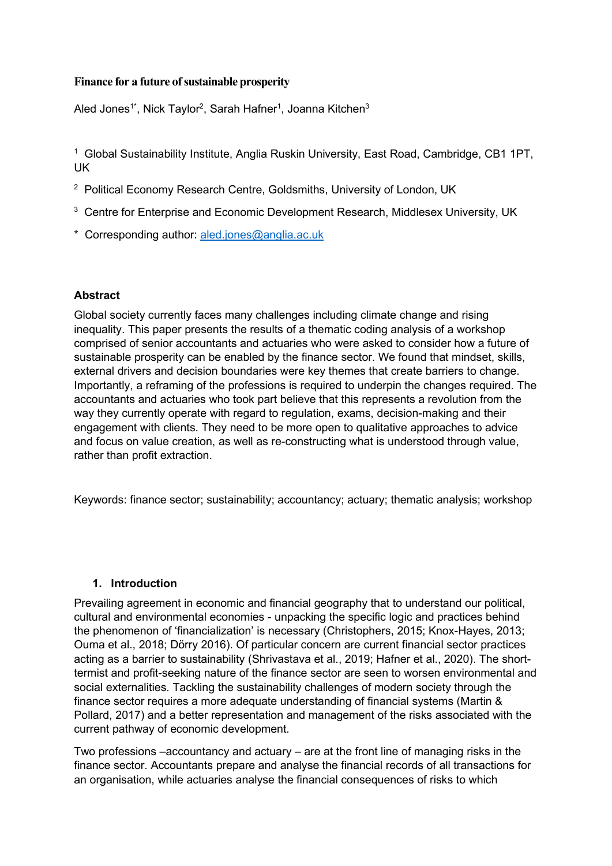## **Finance for a future of sustainable prosperity**

Aled Jones1\*, Nick Taylor<sup>2</sup>, Sarah Hafner<sup>1</sup>, Joanna Kitchen<sup>3</sup>

<sup>1</sup> Global Sustainability Institute, Anglia Ruskin University, East Road, Cambridge, CB1 1PT, UK

- $^{\rm 2}$  Political Economy Research Centre, Goldsmiths, University of London, UK
- $3$  Centre for Enterprise and Economic Development Research, Middlesex University, UK
- \* Corresponding author: [aled.jones@anglia.ac.uk](mailto:aled.jones@anglia.ac.uk)

#### **Abstract**

Global society currently faces many challenges including climate change and rising inequality. This paper presents the results of a thematic coding analysis of a workshop comprised of senior accountants and actuaries who were asked to consider how a future of sustainable prosperity can be enabled by the finance sector. We found that mindset, skills, external drivers and decision boundaries were key themes that create barriers to change. Importantly, a reframing of the professions is required to underpin the changes required. The accountants and actuaries who took part believe that this represents a revolution from the way they currently operate with regard to regulation, exams, decision-making and their engagement with clients. They need to be more open to qualitative approaches to advice and focus on value creation, as well as re-constructing what is understood through value, rather than profit extraction.

Keywords: finance sector; sustainability; accountancy; actuary; thematic analysis; workshop

#### **1. Introduction**

Prevailing agreement in economic and financial geography that to understand our political, cultural and environmental economies - unpacking the specific logic and practices behind the phenomenon of 'financialization' is necessary (Christophers, 2015; Knox-Hayes, 2013; Ouma et al., 2018; Dörry 2016). Of particular concern are current financial sector practices acting as a barrier to sustainability (Shrivastava et al., 2019; Hafner et al., 2020). The shorttermist and profit-seeking nature of the finance sector are seen to worsen environmental and social externalities. Tackling the sustainability challenges of modern society through the finance sector requires a more adequate understanding of financial systems (Martin & Pollard, 2017) and a better representation and management of the risks associated with the current pathway of economic development.

Two professions –accountancy and actuary – are at the front line of managing risks in the finance sector. Accountants prepare and analyse the financial records of all transactions for an organisation, while actuaries analyse the financial consequences of risks to which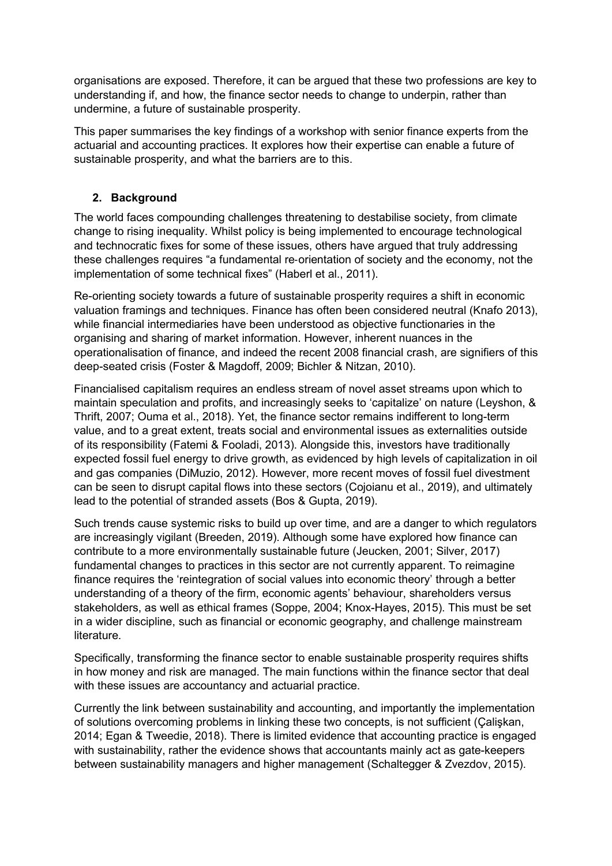organisations are exposed. Therefore, it can be argued that these two professions are key to understanding if, and how, the finance sector needs to change to underpin, rather than undermine, a future of sustainable prosperity.

This paper summarises the key findings of a workshop with senior finance experts from the actuarial and accounting practices. It explores how their expertise can enable a future of sustainable prosperity, and what the barriers are to this.

## **2. Background**

The world faces compounding challenges threatening to destabilise society, from climate change to rising inequality. Whilst policy is being implemented to encourage technological and technocratic fixes for some of these issues, others have argued that truly addressing these challenges requires "a fundamental re‐orientation of society and the economy, not the implementation of some technical fixes" (Haberl et al., 2011).

Re-orienting society towards a future of sustainable prosperity requires a shift in economic valuation framings and techniques. Finance has often been considered neutral (Knafo 2013), while financial intermediaries have been understood as objective functionaries in the organising and sharing of market information. However, inherent nuances in the operationalisation of finance, and indeed the recent 2008 financial crash, are signifiers of this deep-seated crisis (Foster & Magdoff, 2009; Bichler & Nitzan, 2010).

Financialised capitalism requires an endless stream of novel asset streams upon which to maintain speculation and profits, and increasingly seeks to 'capitalize' on nature (Leyshon, & Thrift, 2007; Ouma et al., 2018). Yet, the finance sector remains indifferent to long-term value, and to a great extent, treats social and environmental issues as externalities outside of its responsibility (Fatemi & Fooladi, 2013). Alongside this, investors have traditionally expected fossil fuel energy to drive growth, as evidenced by high levels of capitalization in oil and gas companies (DiMuzio, 2012). However, more recent moves of fossil fuel divestment can be seen to disrupt capital flows into these sectors (Cojoianu et al., 2019), and ultimately lead to the potential of stranded assets (Bos & Gupta, 2019).

Such trends cause systemic risks to build up over time, and are a danger to which regulators are increasingly vigilant (Breeden, 2019). Although some have explored how finance can contribute to a more environmentally sustainable future (Jeucken, 2001; Silver, 2017) fundamental changes to practices in this sector are not currently apparent. To reimagine finance requires the 'reintegration of social values into economic theory' through a better understanding of a theory of the firm, economic agents' behaviour, shareholders versus stakeholders, as well as ethical frames (Soppe, 2004; Knox-Hayes, 2015). This must be set in a wider discipline, such as financial or economic geography, and challenge mainstream literature.

Specifically, transforming the finance sector to enable sustainable prosperity requires shifts in how money and risk are managed. The main functions within the finance sector that deal with these issues are accountancy and actuarial practice.

Currently the link between sustainability and accounting, and importantly the implementation of solutions overcoming problems in linking these two concepts, is not sufficient (Çalişkan, 2014; Egan & Tweedie, 2018). There is limited evidence that accounting practice is engaged with sustainability, rather the evidence shows that accountants mainly act as gate-keepers between sustainability managers and higher management (Schaltegger & Zvezdov, 2015).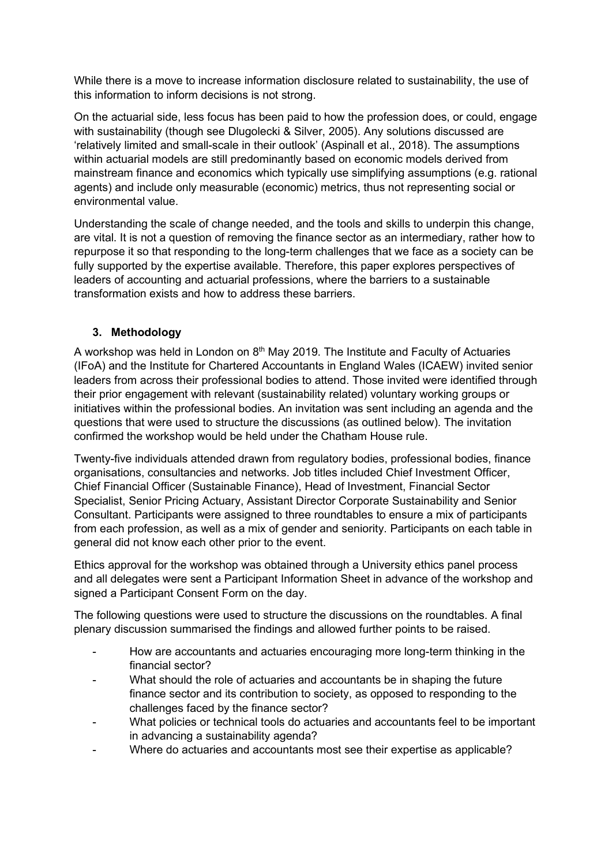While there is a move to increase information disclosure related to sustainability, the use of this information to inform decisions is not strong.

On the actuarial side, less focus has been paid to how the profession does, or could, engage with sustainability (though see Dlugolecki & Silver, 2005). Any solutions discussed are 'relatively limited and small-scale in their outlook' (Aspinall et al., 2018). The assumptions within actuarial models are still predominantly based on economic models derived from mainstream finance and economics which typically use simplifying assumptions (e.g. rational agents) and include only measurable (economic) metrics, thus not representing social or environmental value.

Understanding the scale of change needed, and the tools and skills to underpin this change, are vital. It is not a question of removing the finance sector as an intermediary, rather how to repurpose it so that responding to the long-term challenges that we face as a society can be fully supported by the expertise available. Therefore, this paper explores perspectives of leaders of accounting and actuarial professions, where the barriers to a sustainable transformation exists and how to address these barriers.

## **3. Methodology**

A workshop was held in London on  $8<sup>th</sup>$  May 2019. The Institute and Faculty of Actuaries (IFoA) and the Institute for Chartered Accountants in England Wales (ICAEW) invited senior leaders from across their professional bodies to attend. Those invited were identified through their prior engagement with relevant (sustainability related) voluntary working groups or initiatives within the professional bodies. An invitation was sent including an agenda and the questions that were used to structure the discussions (as outlined below). The invitation confirmed the workshop would be held under the Chatham House rule.

Twenty-five individuals attended drawn from regulatory bodies, professional bodies, finance organisations, consultancies and networks. Job titles included Chief Investment Officer, Chief Financial Officer (Sustainable Finance), Head of Investment, Financial Sector Specialist, Senior Pricing Actuary, Assistant Director Corporate Sustainability and Senior Consultant. Participants were assigned to three roundtables to ensure a mix of participants from each profession, as well as a mix of gender and seniority. Participants on each table in general did not know each other prior to the event.

Ethics approval for the workshop was obtained through a University ethics panel process and all delegates were sent a Participant Information Sheet in advance of the workshop and signed a Participant Consent Form on the day.

The following questions were used to structure the discussions on the roundtables. A final plenary discussion summarised the findings and allowed further points to be raised.

- How are accountants and actuaries encouraging more long-term thinking in the financial sector?
- What should the role of actuaries and accountants be in shaping the future finance sector and its contribution to society, as opposed to responding to the challenges faced by the finance sector?
- What policies or technical tools do actuaries and accountants feel to be important in advancing a sustainability agenda?
- Where do actuaries and accountants most see their expertise as applicable?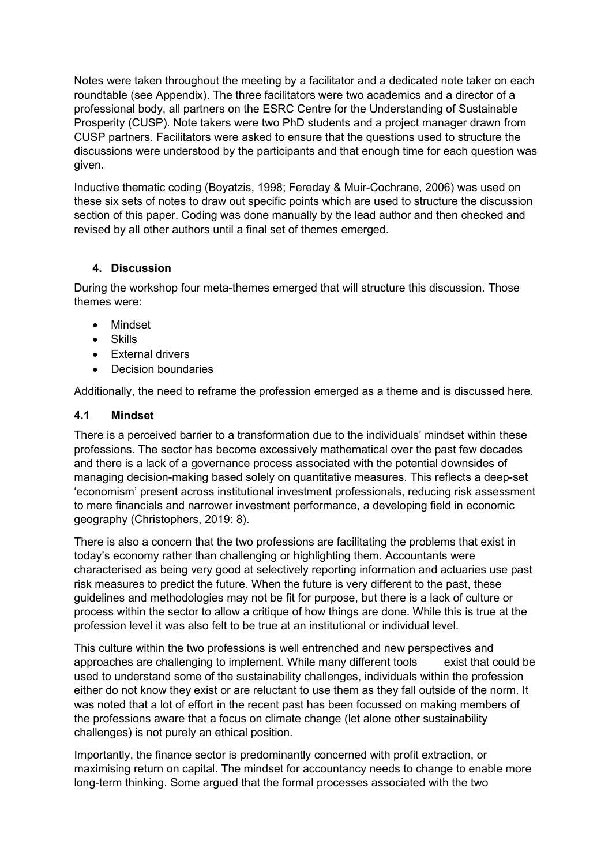Notes were taken throughout the meeting by a facilitator and a dedicated note taker on each roundtable (see Appendix). The three facilitators were two academics and a director of a professional body, all partners on the ESRC Centre for the Understanding of Sustainable Prosperity (CUSP). Note takers were two PhD students and a project manager drawn from CUSP partners. Facilitators were asked to ensure that the questions used to structure the discussions were understood by the participants and that enough time for each question was given.

Inductive thematic coding (Boyatzis, 1998; Fereday & Muir-Cochrane, 2006) was used on these six sets of notes to draw out specific points which are used to structure the discussion section of this paper. Coding was done manually by the lead author and then checked and revised by all other authors until a final set of themes emerged.

## **4. Discussion**

During the workshop four meta-themes emerged that will structure this discussion. Those themes were:

- Mindset
- Skills
- External drivers
- Decision boundaries

Additionally, the need to reframe the profession emerged as a theme and is discussed here.

#### **4.1 Mindset**

There is a perceived barrier to a transformation due to the individuals' mindset within these professions. The sector has become excessively mathematical over the past few decades and there is a lack of a governance process associated with the potential downsides of managing decision-making based solely on quantitative measures. This reflects a deep-set 'economism' present across institutional investment professionals, reducing risk assessment to mere financials and narrower investment performance, a developing field in economic geography (Christophers, 2019: 8).

There is also a concern that the two professions are facilitating the problems that exist in today's economy rather than challenging or highlighting them. Accountants were characterised as being very good at selectively reporting information and actuaries use past risk measures to predict the future. When the future is very different to the past, these guidelines and methodologies may not be fit for purpose, but there is a lack of culture or process within the sector to allow a critique of how things are done. While this is true at the profession level it was also felt to be true at an institutional or individual level.

This culture within the two professions is well entrenched and new perspectives and approaches are challenging to implement. While many different tools exist that could be used to understand some of the sustainability challenges, individuals within the profession either do not know they exist or are reluctant to use them as they fall outside of the norm. It was noted that a lot of effort in the recent past has been focussed on making members of the professions aware that a focus on climate change (let alone other sustainability challenges) is not purely an ethical position.

Importantly, the finance sector is predominantly concerned with profit extraction, or maximising return on capital. The mindset for accountancy needs to change to enable more long-term thinking. Some argued that the formal processes associated with the two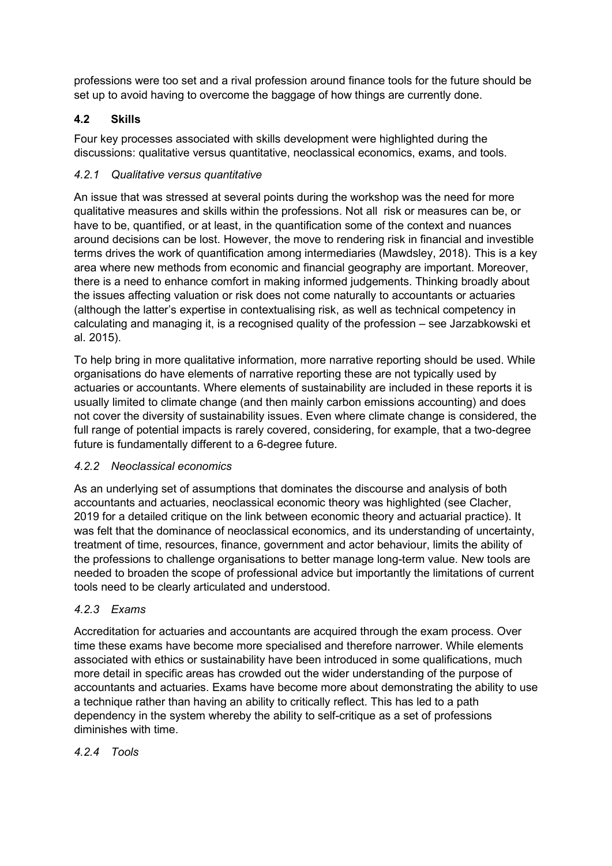professions were too set and a rival profession around finance tools for the future should be set up to avoid having to overcome the baggage of how things are currently done.

# **4.2 Skills**

Four key processes associated with skills development were highlighted during the discussions: qualitative versus quantitative, neoclassical economics, exams, and tools.

## *4.2.1 Qualitative versus quantitative*

An issue that was stressed at several points during the workshop was the need for more qualitative measures and skills within the professions. Not all risk or measures can be, or have to be, quantified, or at least, in the quantification some of the context and nuances around decisions can be lost. However, the move to rendering risk in financial and investible terms drives the work of quantification among intermediaries (Mawdsley, 2018). This is a key area where new methods from economic and financial geography are important. Moreover, there is a need to enhance comfort in making informed judgements. Thinking broadly about the issues affecting valuation or risk does not come naturally to accountants or actuaries (although the latter's expertise in contextualising risk, as well as technical competency in calculating and managing it, is a recognised quality of the profession – see Jarzabkowski et al. 2015).

To help bring in more qualitative information, more narrative reporting should be used. While organisations do have elements of narrative reporting these are not typically used by actuaries or accountants. Where elements of sustainability are included in these reports it is usually limited to climate change (and then mainly carbon emissions accounting) and does not cover the diversity of sustainability issues. Even where climate change is considered, the full range of potential impacts is rarely covered, considering, for example, that a two-degree future is fundamentally different to a 6-degree future.

## *4.2.2 Neoclassical economics*

As an underlying set of assumptions that dominates the discourse and analysis of both accountants and actuaries, neoclassical economic theory was highlighted (see Clacher, 2019 for a detailed critique on the link between economic theory and actuarial practice). It was felt that the dominance of neoclassical economics, and its understanding of uncertainty, treatment of time, resources, finance, government and actor behaviour, limits the ability of the professions to challenge organisations to better manage long-term value. New tools are needed to broaden the scope of professional advice but importantly the limitations of current tools need to be clearly articulated and understood.

## *4.2.3 Exams*

Accreditation for actuaries and accountants are acquired through the exam process. Over time these exams have become more specialised and therefore narrower. While elements associated with ethics or sustainability have been introduced in some qualifications, much more detail in specific areas has crowded out the wider understanding of the purpose of accountants and actuaries. Exams have become more about demonstrating the ability to use a technique rather than having an ability to critically reflect. This has led to a path dependency in the system whereby the ability to self-critique as a set of professions diminishes with time.

## *4.2.4 Tools*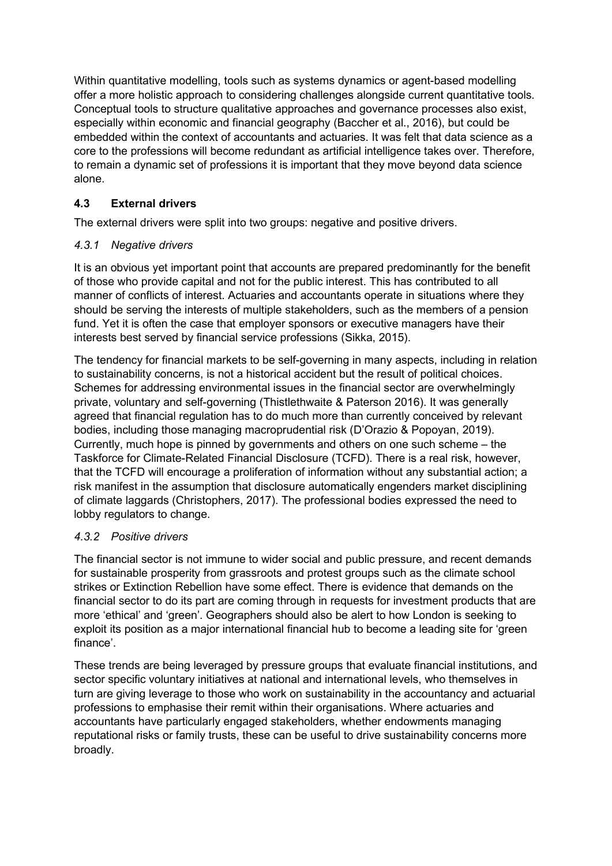Within quantitative modelling, tools such as systems dynamics or agent-based modelling offer a more holistic approach to considering challenges alongside current quantitative tools. Conceptual tools to structure qualitative approaches and governance processes also exist, especially within economic and financial geography (Baccher et al., 2016), but could be embedded within the context of accountants and actuaries. It was felt that data science as a core to the professions will become redundant as artificial intelligence takes over. Therefore, to remain a dynamic set of professions it is important that they move beyond data science alone.

# **4.3 External drivers**

The external drivers were split into two groups: negative and positive drivers.

## *4.3.1 Negative drivers*

It is an obvious yet important point that accounts are prepared predominantly for the benefit of those who provide capital and not for the public interest. This has contributed to all manner of conflicts of interest. Actuaries and accountants operate in situations where they should be serving the interests of multiple stakeholders, such as the members of a pension fund. Yet it is often the case that employer sponsors or executive managers have their interests best served by financial service professions (Sikka, 2015).

The tendency for financial markets to be self-governing in many aspects, including in relation to sustainability concerns, is not a historical accident but the result of political choices. Schemes for addressing environmental issues in the financial sector are overwhelmingly private, voluntary and self-governing (Thistlethwaite & Paterson 2016). It was generally agreed that financial regulation has to do much more than currently conceived by relevant bodies, including those managing macroprudential risk (D'Orazio & Popoyan, 2019). Currently, much hope is pinned by governments and others on one such scheme – the Taskforce for Climate-Related Financial Disclosure (TCFD). There is a real risk, however, that the TCFD will encourage a proliferation of information without any substantial action; a risk manifest in the assumption that disclosure automatically engenders market disciplining of climate laggards (Christophers, 2017). The professional bodies expressed the need to lobby regulators to change.

#### *4.3.2 Positive drivers*

The financial sector is not immune to wider social and public pressure, and recent demands for sustainable prosperity from grassroots and protest groups such as the climate school strikes or Extinction Rebellion have some effect. There is evidence that demands on the financial sector to do its part are coming through in requests for investment products that are more 'ethical' and 'green'. Geographers should also be alert to how London is seeking to exploit its position as a major international financial hub to become a leading site for 'green finance'.

These trends are being leveraged by pressure groups that evaluate financial institutions, and sector specific voluntary initiatives at national and international levels, who themselves in turn are giving leverage to those who work on sustainability in the accountancy and actuarial professions to emphasise their remit within their organisations. Where actuaries and accountants have particularly engaged stakeholders, whether endowments managing reputational risks or family trusts, these can be useful to drive sustainability concerns more broadly.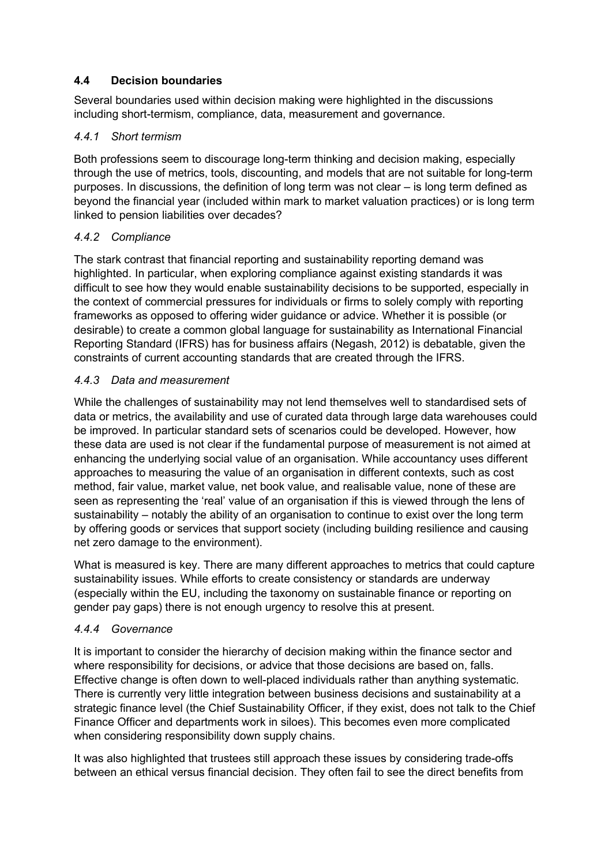## **4.4 Decision boundaries**

Several boundaries used within decision making were highlighted in the discussions including short-termism, compliance, data, measurement and governance.

#### *4.4.1 Short termism*

Both professions seem to discourage long-term thinking and decision making, especially through the use of metrics, tools, discounting, and models that are not suitable for long-term purposes. In discussions, the definition of long term was not clear – is long term defined as beyond the financial year (included within mark to market valuation practices) or is long term linked to pension liabilities over decades?

#### *4.4.2 Compliance*

The stark contrast that financial reporting and sustainability reporting demand was highlighted. In particular, when exploring compliance against existing standards it was difficult to see how they would enable sustainability decisions to be supported, especially in the context of commercial pressures for individuals or firms to solely comply with reporting frameworks as opposed to offering wider guidance or advice. Whether it is possible (or desirable) to create a common global language for sustainability as International Financial Reporting Standard (IFRS) has for business affairs (Negash, 2012) is debatable, given the constraints of current accounting standards that are created through the IFRS.

#### *4.4.3 Data and measurement*

While the challenges of sustainability may not lend themselves well to standardised sets of data or metrics, the availability and use of curated data through large data warehouses could be improved. In particular standard sets of scenarios could be developed. However, how these data are used is not clear if the fundamental purpose of measurement is not aimed at enhancing the underlying social value of an organisation. While accountancy uses different approaches to measuring the value of an organisation in different contexts, such as cost method, fair value, market value, net book value, and realisable value, none of these are seen as representing the 'real' value of an organisation if this is viewed through the lens of sustainability – notably the ability of an organisation to continue to exist over the long term by offering goods or services that support society (including building resilience and causing net zero damage to the environment).

What is measured is key. There are many different approaches to metrics that could capture sustainability issues. While efforts to create consistency or standards are underway (especially within the EU, including the taxonomy on sustainable finance or reporting on gender pay gaps) there is not enough urgency to resolve this at present.

#### *4.4.4 Governance*

It is important to consider the hierarchy of decision making within the finance sector and where responsibility for decisions, or advice that those decisions are based on, falls. Effective change is often down to well-placed individuals rather than anything systematic. There is currently very little integration between business decisions and sustainability at a strategic finance level (the Chief Sustainability Officer, if they exist, does not talk to the Chief Finance Officer and departments work in siloes). This becomes even more complicated when considering responsibility down supply chains.

It was also highlighted that trustees still approach these issues by considering trade-offs between an ethical versus financial decision. They often fail to see the direct benefits from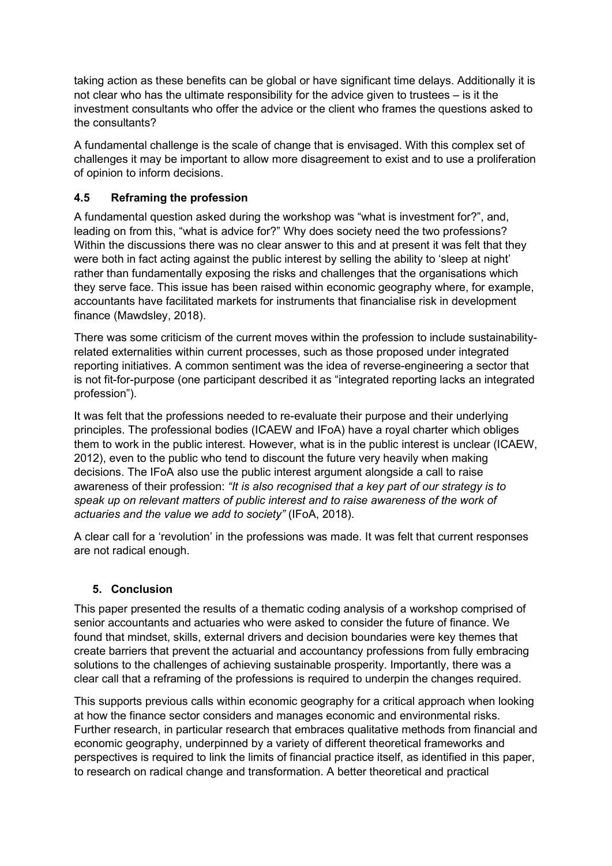taking action as these benefits can be global or have significant time delays. Additionally it is not clear who has the ultimate responsibility for the advice given to trustees – is it the investment consultants who offer the advice or the client who frames the questions asked to the consultants?

A fundamental challenge is the scale of change that is envisaged. With this complex set of challenges it may be important to allow more disagreement to exist and to use a proliferation of opinion to inform decisions.

## **4.5 Reframing the profession**

A fundamental question asked during the workshop was "what is investment for?", and, leading on from this, "what is advice for?" Why does society need the two professions? Within the discussions there was no clear answer to this and at present it was felt that they were both in fact acting against the public interest by selling the ability to 'sleep at night' rather than fundamentally exposing the risks and challenges that the organisations which they serve face. This issue has been raised within economic geography where, for example, accountants have facilitated markets for instruments that financialise risk in development finance (Mawdsley, 2018).

There was some criticism of the current moves within the profession to include sustainabilityrelated externalities within current processes, such as those proposed under integrated reporting initiatives. A common sentiment was the idea of reverse-engineering a sector that is not fit-for-purpose (one participant described it as "integrated reporting lacks an integrated profession").

It was felt that the professions needed to re-evaluate their purpose and their underlying principles. The professional bodies (ICAEW and IFoA) have a royal charter which obliges them to work in the public interest. However, what is in the public interest is unclear (ICAEW, 2012), even to the public who tend to discount the future very heavily when making decisions. The IFoA also use the public interest argument alongside a call to raise awareness of their profession: *"It is also recognised that a key part of our strategy is to speak up on relevant matters of public interest and to raise awareness of the work of actuaries and the value we add to society"* (IFoA, 2018).

A clear call for a 'revolution' in the professions was made. It was felt that current responses are not radical enough.

## **5. Conclusion**

This paper presented the results of a thematic coding analysis of a workshop comprised of senior accountants and actuaries who were asked to consider the future of finance. We found that mindset, skills, external drivers and decision boundaries were key themes that create barriers that prevent the actuarial and accountancy professions from fully embracing solutions to the challenges of achieving sustainable prosperity. Importantly, there was a clear call that a reframing of the professions is required to underpin the changes required.

This supports previous calls within economic geography for a critical approach when looking at how the finance sector considers and manages economic and environmental risks. Further research, in particular research that embraces qualitative methods from financial and economic geography, underpinned by a variety of different theoretical frameworks and perspectives is required to link the limits of financial practice itself, as identified in this paper, to research on radical change and transformation. A better theoretical and practical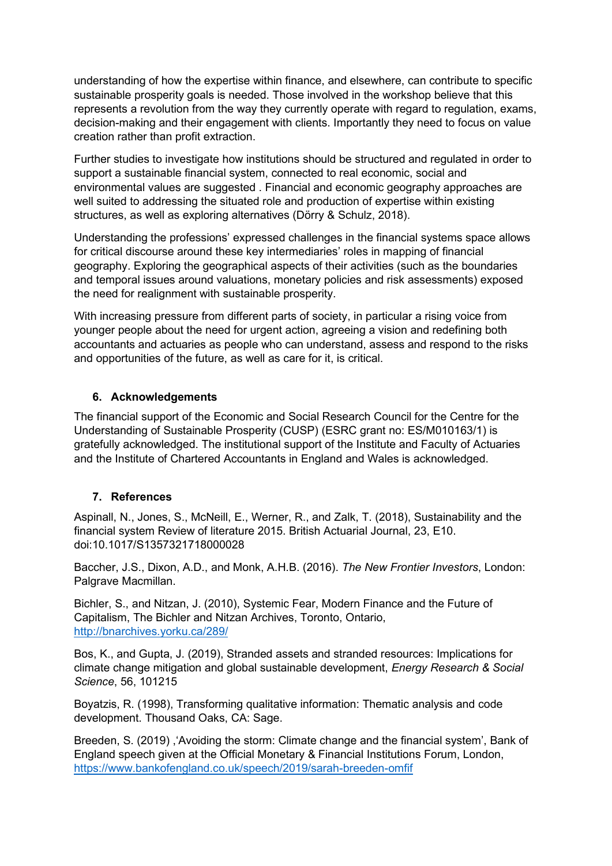understanding of how the expertise within finance, and elsewhere, can contribute to specific sustainable prosperity goals is needed. Those involved in the workshop believe that this represents a revolution from the way they currently operate with regard to regulation, exams, decision-making and their engagement with clients. Importantly they need to focus on value creation rather than profit extraction.

Further studies to investigate how institutions should be structured and regulated in order to support a sustainable financial system, connected to real economic, social and environmental values are suggested . Financial and economic geography approaches are well suited to addressing the situated role and production of expertise within existing structures, as well as exploring alternatives (Dörry & Schulz, 2018).

Understanding the professions' expressed challenges in the financial systems space allows for critical discourse around these key intermediaries' roles in mapping of financial geography. Exploring the geographical aspects of their activities (such as the boundaries and temporal issues around valuations, monetary policies and risk assessments) exposed the need for realignment with sustainable prosperity.

With increasing pressure from different parts of society, in particular a rising voice from younger people about the need for urgent action, agreeing a vision and redefining both accountants and actuaries as people who can understand, assess and respond to the risks and opportunities of the future, as well as care for it, is critical.

## **6. Acknowledgements**

The financial support of the Economic and Social Research Council for the Centre for the Understanding of Sustainable Prosperity (CUSP) (ESRC grant no: ES/M010163/1) is gratefully acknowledged. The institutional support of the Institute and Faculty of Actuaries and the Institute of Chartered Accountants in England and Wales is acknowledged.

## **7. References**

Aspinall, N., Jones, S., McNeill, E., Werner, R., and Zalk, T. (2018), Sustainability and the financial system Review of literature 2015. British Actuarial Journal, 23, E10. doi:10.1017/S1357321718000028

Baccher, J.S., Dixon, A.D., and Monk, A.H.B. (2016). *The New Frontier Investors*, London: Palgrave Macmillan.

Bichler, S., and Nitzan, J. (2010), Systemic Fear, Modern Finance and the Future of Capitalism, The Bichler and Nitzan Archives, Toronto, Ontario, <http://bnarchives.yorku.ca/289/>

Bos, K., and Gupta, J. (2019), Stranded assets and stranded resources: Implications for climate change mitigation and global sustainable development, *Energy Research & Social Science*, 56, 101215

Boyatzis, R. (1998), Transforming qualitative information: Thematic analysis and code development. Thousand Oaks, CA: Sage.

Breeden, S. (2019) ,'Avoiding the storm: Climate change and the financial system', Bank of England speech given at the Official Monetary & Financial Institutions Forum, London, <https://www.bankofengland.co.uk/speech/2019/sarah-breeden-omfif>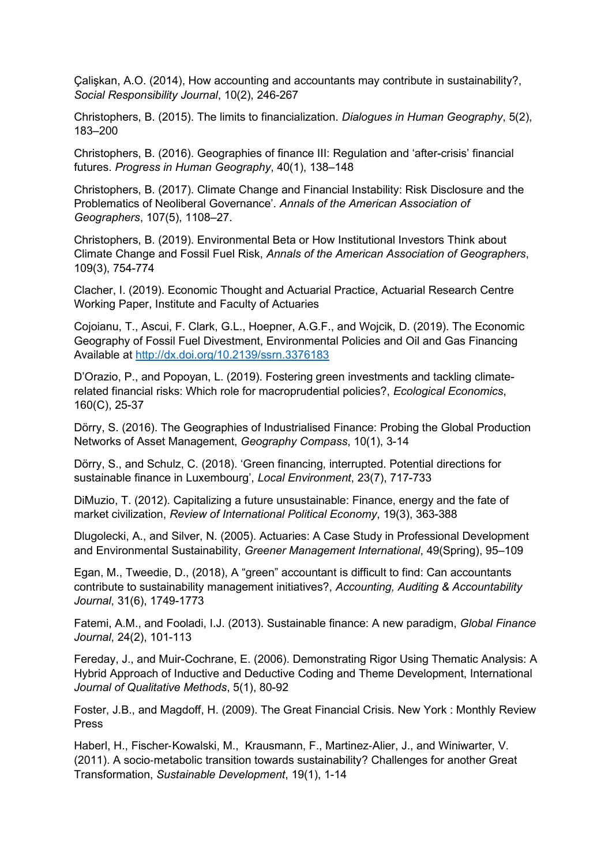Çalişkan, A.O. (2014), How accounting and accountants may contribute in sustainability?, *Social Responsibility Journal*, 10(2), 246-267

Christophers, B. (2015). The limits to financialization. *Dialogues in Human Geography*, 5(2), 183–200

Christophers, B. (2016). Geographies of finance III: Regulation and 'after-crisis' financial futures. *Progress in Human Geography*, 40(1), 138–148

Christophers, B. (2017). Climate Change and Financial Instability: Risk Disclosure and the Problematics of Neoliberal Governance'. *Annals of the American Association of Geographers*, 107(5), 1108–27.

Christophers, B. (2019). Environmental Beta or How Institutional Investors Think about Climate Change and Fossil Fuel Risk, *Annals of the American Association of Geographers*, 109(3), 754-774

Clacher, I. (2019). Economic Thought and Actuarial Practice, Actuarial Research Centre Working Paper, Institute and Faculty of Actuaries

Cojoianu, T., Ascui, F. Clark, G.L., Hoepner, A.G.F., and Wojcik, D. (2019). The Economic Geography of Fossil Fuel Divestment, Environmental Policies and Oil and Gas Financing Available at<http://dx.doi.org/10.2139/ssrn.3376183>

D'Orazio, P., and Popoyan, L. (2019). Fostering green investments and tackling climaterelated financial risks: Which role for macroprudential policies?, *Ecological Economics*, 160(C), 25-37

Dörry, S. (2016). The Geographies of Industrialised Finance: Probing the Global Production Networks of Asset Management, *Geography Compass*, 10(1), 3-14

Dörry, S., and Schulz, C. (2018). 'Green financing, interrupted. Potential directions for sustainable finance in Luxembourg', *Local Environment*, 23(7), 717-733

DiMuzio, T. (2012). Capitalizing a future unsustainable: Finance, energy and the fate of market civilization, *Review of International Political Economy*, 19(3), 363-388

Dlugolecki, A., and Silver, N. (2005). Actuaries: A Case Study in Professional Development and Environmental Sustainability, *Greener Management International*, 49(Spring), 95–109

Egan, M., Tweedie, D., (2018), A "green" accountant is difficult to find: Can accountants contribute to sustainability management initiatives?, *Accounting, Auditing & Accountability Journal*, 31(6), 1749-1773

Fatemi, A.M., and Fooladi, I.J. (2013). Sustainable finance: A new paradigm, *Global Finance Journal*, 24(2), 101-113

Fereday, J., and Muir-Cochrane, E. (2006). Demonstrating Rigor Using Thematic Analysis: A Hybrid Approach of Inductive and Deductive Coding and Theme Development, International *Journal of Qualitative Methods*, 5(1), 80-92

Foster, J.B., and Magdoff, H. (2009). The Great Financial Crisis. New York : Monthly Review Press

Haberl, H., Fischer‐Kowalski, M., Krausmann, F., Martinez‐Alier, J., and Winiwarter, V. (2011). A socio‐metabolic transition towards sustainability? Challenges for another Great Transformation, *Sustainable Development*, 19(1), 1-14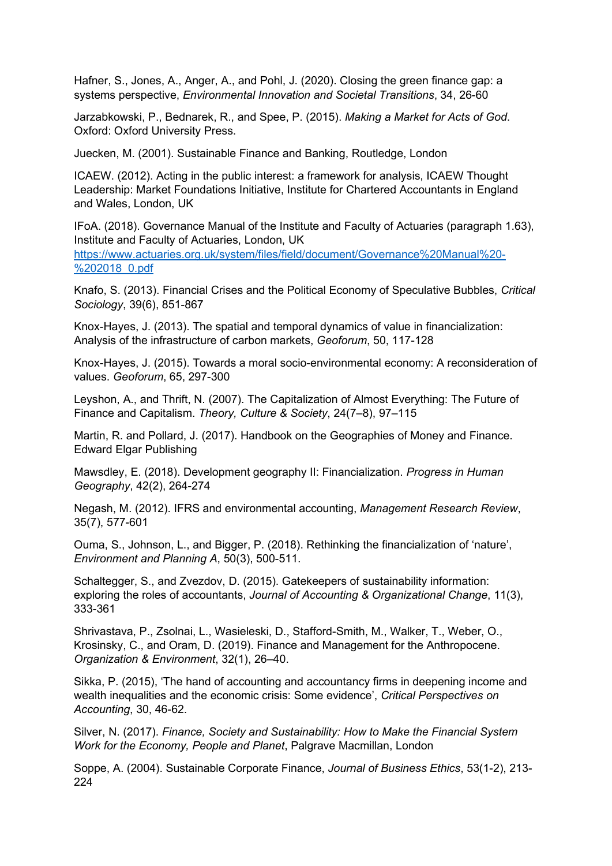Hafner, S., Jones, A., Anger, A., and Pohl, J. (2020). Closing the green finance gap: a systems perspective, *Environmental Innovation and Societal Transitions*, 34, 26-60

Jarzabkowski, P., Bednarek, R., and Spee, P. (2015). *Making a Market for Acts of God*. Oxford: Oxford University Press.

Juecken, M. (2001). Sustainable Finance and Banking, Routledge, London

ICAEW. (2012). Acting in the public interest: a framework for analysis, ICAEW Thought Leadership: Market Foundations Initiative, Institute for Chartered Accountants in England and Wales, London, UK

IFoA. (2018). Governance Manual of the Institute and Faculty of Actuaries (paragraph 1.63), Institute and Faculty of Actuaries, London, UK

[https://www.actuaries.org.uk/system/files/field/document/Governance%20Manual%20-](https://www.actuaries.org.uk/system/files/field/document/Governance%20Manual%20-%202018_0.pdf) [%202018\\_0.pdf](https://www.actuaries.org.uk/system/files/field/document/Governance%20Manual%20-%202018_0.pdf)

Knafo, S. (2013). Financial Crises and the Political Economy of Speculative Bubbles, *Critical Sociology*, 39(6), 851-867

Knox-Hayes, J. (2013). The spatial and temporal dynamics of value in financialization: Analysis of the infrastructure of carbon markets, *Geoforum*, 50, 117-128

Knox-Hayes, J. (2015). Towards a moral socio-environmental economy: A reconsideration of values. *Geoforum*, 65, 297-300

Leyshon, A., and Thrift, N. (2007). The Capitalization of Almost Everything: The Future of Finance and Capitalism. *Theory, Culture & Society*, 24(7–8), 97–115

Martin, R. and Pollard, J. (2017). Handbook on the Geographies of Money and Finance. Edward Elgar Publishing

Mawsdley, E. (2018). Development geography II: Financialization. *Progress in Human Geography*, 42(2), 264-274

Negash, M. (2012). IFRS and environmental accounting, *Management Research Review*, 35(7), 577-601

Ouma, S., Johnson, L., and Bigger, P. (2018). Rethinking the financialization of 'nature', *Environment and Planning A*, 50(3), 500-511.

Schaltegger, S., and Zvezdov, D. (2015). Gatekeepers of sustainability information: exploring the roles of accountants, *Journal of Accounting & Organizational Change*, 11(3), 333-361

Shrivastava, P., Zsolnai, L., Wasieleski, D., Stafford-Smith, M., Walker, T., Weber, O., Krosinsky, C., and Oram, D. (2019). Finance and Management for the Anthropocene. *Organization & Environment*, 32(1), 26–40.

Sikka, P. (2015), 'The hand of accounting and accountancy firms in deepening income and wealth inequalities and the economic crisis: Some evidence', *Critical Perspectives on Accounting*, 30, 46-62.

Silver, N. (2017). *Finance, Society and Sustainability: How to Make the Financial System Work for the Economy, People and Planet*, Palgrave Macmillan, London

Soppe, A. (2004). Sustainable Corporate Finance, *Journal of Business Ethics*, 53(1-2), 213- 224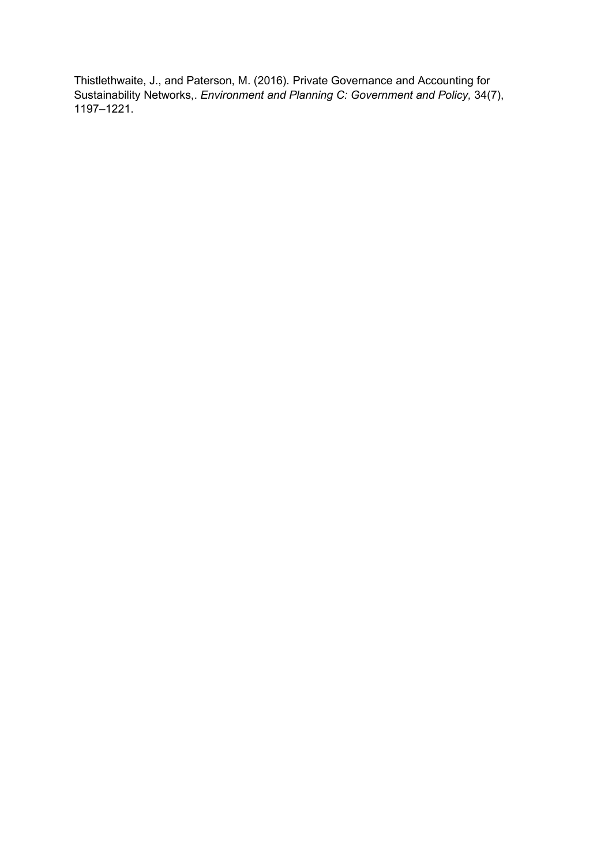Thistlethwaite, J., and Paterson, M. (2016). Private Governance and Accounting for Sustainability Networks,. *Environment and Planning C: Government and Policy,* 34(7), 1197–1221.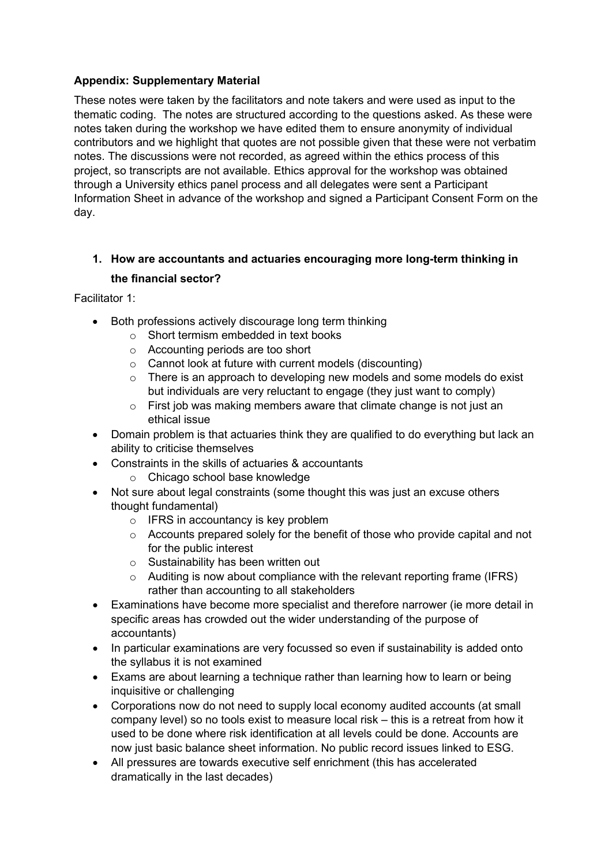## **Appendix: Supplementary Material**

These notes were taken by the facilitators and note takers and were used as input to the thematic coding. The notes are structured according to the questions asked. As these were notes taken during the workshop we have edited them to ensure anonymity of individual contributors and we highlight that quotes are not possible given that these were not verbatim notes. The discussions were not recorded, as agreed within the ethics process of this project, so transcripts are not available. Ethics approval for the workshop was obtained through a University ethics panel process and all delegates were sent a Participant Information Sheet in advance of the workshop and signed a Participant Consent Form on the day.

# **1. How are accountants and actuaries encouraging more long-term thinking in the financial sector?**

Facilitator 1:

- Both professions actively discourage long term thinking
	- o Short termism embedded in text books
	- o Accounting periods are too short
	- o Cannot look at future with current models (discounting)
	- $\circ$  There is an approach to developing new models and some models do exist but individuals are very reluctant to engage (they just want to comply)
	- $\circ$  First job was making members aware that climate change is not just an ethical issue
- Domain problem is that actuaries think they are qualified to do everything but lack an ability to criticise themselves
- Constraints in the skills of actuaries & accountants
	- o Chicago school base knowledge
- Not sure about legal constraints (some thought this was just an excuse others thought fundamental)
	- o IFRS in accountancy is key problem
	- o Accounts prepared solely for the benefit of those who provide capital and not for the public interest
	- o Sustainability has been written out
	- $\circ$  Auditing is now about compliance with the relevant reporting frame (IFRS) rather than accounting to all stakeholders
- Examinations have become more specialist and therefore narrower (ie more detail in specific areas has crowded out the wider understanding of the purpose of accountants)
- In particular examinations are very focussed so even if sustainability is added onto the syllabus it is not examined
- Exams are about learning a technique rather than learning how to learn or being inquisitive or challenging
- Corporations now do not need to supply local economy audited accounts (at small company level) so no tools exist to measure local risk – this is a retreat from how it used to be done where risk identification at all levels could be done. Accounts are now just basic balance sheet information. No public record issues linked to ESG.
- All pressures are towards executive self enrichment (this has accelerated dramatically in the last decades)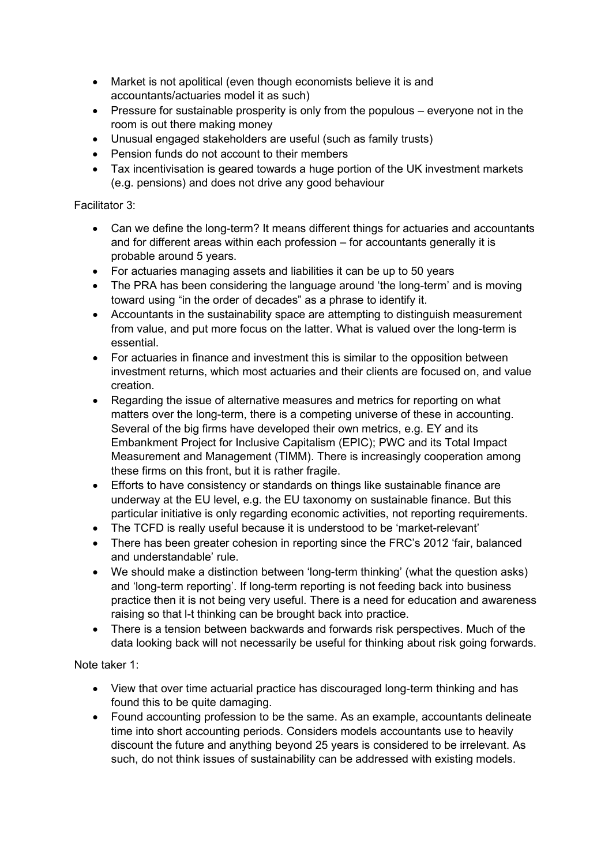- Market is not apolitical (even though economists believe it is and accountants/actuaries model it as such)
- Pressure for sustainable prosperity is only from the populous everyone not in the room is out there making money
- Unusual engaged stakeholders are useful (such as family trusts)
- Pension funds do not account to their members
- Tax incentivisation is geared towards a huge portion of the UK investment markets (e.g. pensions) and does not drive any good behaviour

## Facilitator 3:

- Can we define the long-term? It means different things for actuaries and accountants and for different areas within each profession – for accountants generally it is probable around 5 years.
- For actuaries managing assets and liabilities it can be up to 50 years
- The PRA has been considering the language around 'the long-term' and is moving toward using "in the order of decades" as a phrase to identify it.
- Accountants in the sustainability space are attempting to distinguish measurement from value, and put more focus on the latter. What is valued over the long-term is essential.
- For actuaries in finance and investment this is similar to the opposition between investment returns, which most actuaries and their clients are focused on, and value creation.
- Regarding the issue of alternative measures and metrics for reporting on what matters over the long-term, there is a competing universe of these in accounting. Several of the big firms have developed their own metrics, e.g. EY and its Embankment Project for Inclusive Capitalism (EPIC); PWC and its Total Impact Measurement and Management (TIMM). There is increasingly cooperation among these firms on this front, but it is rather fragile.
- Efforts to have consistency or standards on things like sustainable finance are underway at the EU level, e.g. the EU taxonomy on sustainable finance. But this particular initiative is only regarding economic activities, not reporting requirements.
- The TCFD is really useful because it is understood to be 'market-relevant'
- There has been greater cohesion in reporting since the FRC's 2012 'fair, balanced and understandable' rule.
- We should make a distinction between 'long-term thinking' (what the question asks) and 'long-term reporting'. If long-term reporting is not feeding back into business practice then it is not being very useful. There is a need for education and awareness raising so that l-t thinking can be brought back into practice.
- There is a tension between backwards and forwards risk perspectives. Much of the data looking back will not necessarily be useful for thinking about risk going forwards.

Note taker 1:

- View that over time actuarial practice has discouraged long-term thinking and has found this to be quite damaging.
- Found accounting profession to be the same. As an example, accountants delineate time into short accounting periods. Considers models accountants use to heavily discount the future and anything beyond 25 years is considered to be irrelevant. As such, do not think issues of sustainability can be addressed with existing models.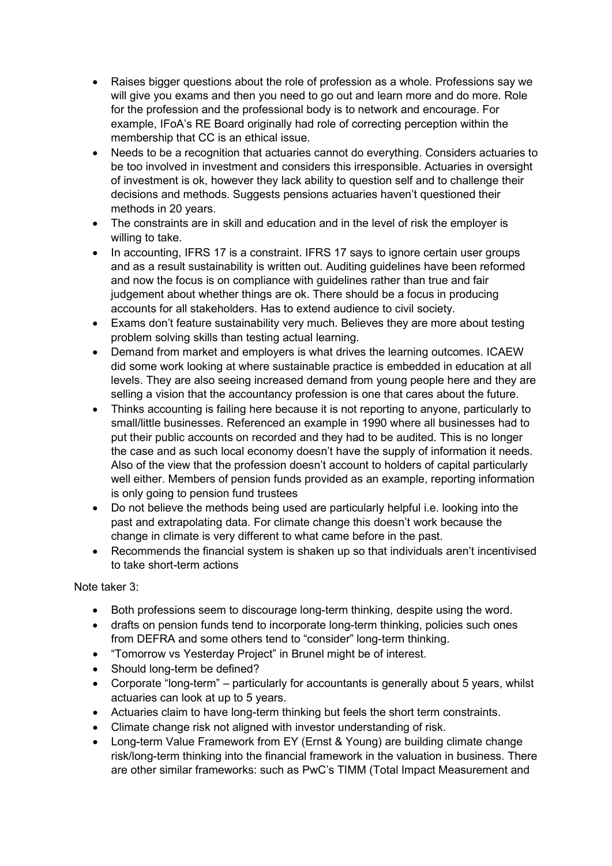- Raises bigger questions about the role of profession as a whole. Professions say we will give you exams and then you need to go out and learn more and do more. Role for the profession and the professional body is to network and encourage. For example, IFoA's RE Board originally had role of correcting perception within the membership that CC is an ethical issue.
- Needs to be a recognition that actuaries cannot do everything. Considers actuaries to be too involved in investment and considers this irresponsible. Actuaries in oversight of investment is ok, however they lack ability to question self and to challenge their decisions and methods. Suggests pensions actuaries haven't questioned their methods in 20 years.
- The constraints are in skill and education and in the level of risk the employer is willing to take.
- In accounting, IFRS 17 is a constraint. IFRS 17 says to ignore certain user groups and as a result sustainability is written out. Auditing guidelines have been reformed and now the focus is on compliance with guidelines rather than true and fair judgement about whether things are ok. There should be a focus in producing accounts for all stakeholders. Has to extend audience to civil society.
- Exams don't feature sustainability very much. Believes they are more about testing problem solving skills than testing actual learning.
- Demand from market and employers is what drives the learning outcomes. ICAEW did some work looking at where sustainable practice is embedded in education at all levels. They are also seeing increased demand from young people here and they are selling a vision that the accountancy profession is one that cares about the future.
- Thinks accounting is failing here because it is not reporting to anyone, particularly to small/little businesses. Referenced an example in 1990 where all businesses had to put their public accounts on recorded and they had to be audited. This is no longer the case and as such local economy doesn't have the supply of information it needs. Also of the view that the profession doesn't account to holders of capital particularly well either. Members of pension funds provided as an example, reporting information is only going to pension fund trustees
- Do not believe the methods being used are particularly helpful i.e. looking into the past and extrapolating data. For climate change this doesn't work because the change in climate is very different to what came before in the past.
- Recommends the financial system is shaken up so that individuals aren't incentivised to take short-term actions

Note taker 3:

- Both professions seem to discourage long-term thinking, despite using the word.
- drafts on pension funds tend to incorporate long-term thinking, policies such ones from DEFRA and some others tend to "consider" long-term thinking.
- "Tomorrow vs Yesterday Project" in Brunel might be of interest.
- Should long-term be defined?
- Corporate "long-term" particularly for accountants is generally about 5 years, whilst actuaries can look at up to 5 years.
- Actuaries claim to have long-term thinking but feels the short term constraints.
- Climate change risk not aligned with investor understanding of risk.
- Long-term Value Framework from EY (Ernst & Young) are building climate change risk/long-term thinking into the financial framework in the valuation in business. There are other similar frameworks: such as PwC's TIMM (Total Impact Measurement and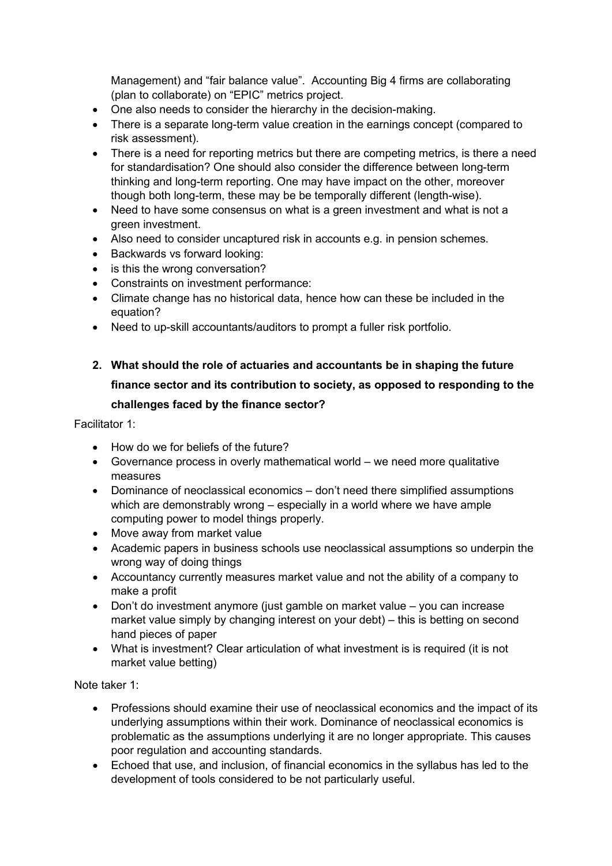Management) and "fair balance value". Accounting Big 4 firms are collaborating (plan to collaborate) on "EPIC" metrics project.

- One also needs to consider the hierarchy in the decision-making.
- There is a separate long-term value creation in the earnings concept (compared to risk assessment).
- There is a need for reporting metrics but there are competing metrics, is there a need for standardisation? One should also consider the difference between long-term thinking and long-term reporting. One may have impact on the other, moreover though both long-term, these may be be temporally different (length-wise).
- Need to have some consensus on what is a green investment and what is not a green investment.
- Also need to consider uncaptured risk in accounts e.g. in pension schemes.
- Backwards vs forward looking:
- is this the wrong conversation?
- Constraints on investment performance:
- Climate change has no historical data, hence how can these be included in the equation?
- Need to up-skill accountants/auditors to prompt a fuller risk portfolio.

# **2. What should the role of actuaries and accountants be in shaping the future finance sector and its contribution to society, as opposed to responding to the challenges faced by the finance sector?**

Facilitator 1:

- How do we for beliefs of the future?
- Governance process in overly mathematical world we need more qualitative measures
- Dominance of neoclassical economics don't need there simplified assumptions which are demonstrably wrong – especially in a world where we have ample computing power to model things properly.
- Move away from market value
- Academic papers in business schools use neoclassical assumptions so underpin the wrong way of doing things
- Accountancy currently measures market value and not the ability of a company to make a profit
- Don't do investment anymore (just gamble on market value you can increase market value simply by changing interest on your debt) – this is betting on second hand pieces of paper
- What is investment? Clear articulation of what investment is is required (it is not market value betting)

Note taker 1:

- Professions should examine their use of neoclassical economics and the impact of its underlying assumptions within their work. Dominance of neoclassical economics is problematic as the assumptions underlying it are no longer appropriate. This causes poor regulation and accounting standards.
- Echoed that use, and inclusion, of financial economics in the syllabus has led to the development of tools considered to be not particularly useful.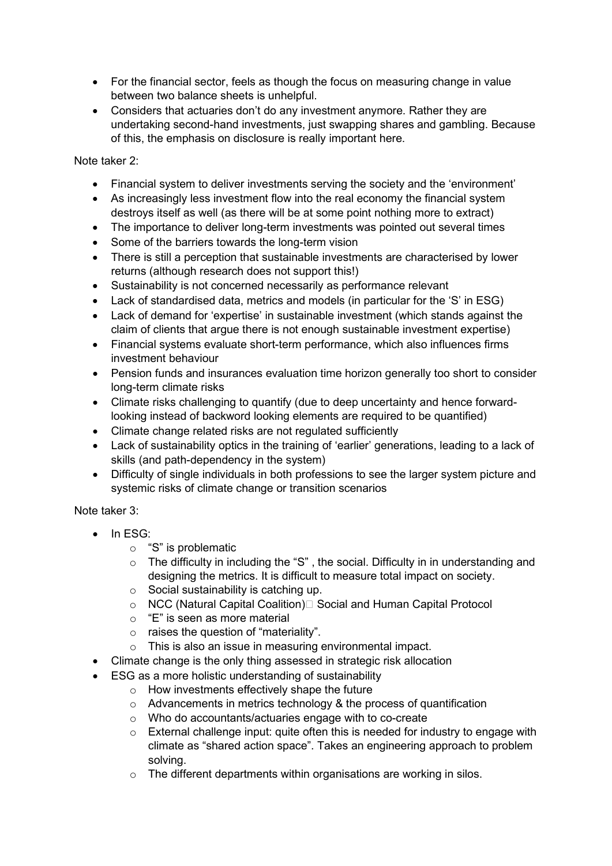- For the financial sector, feels as though the focus on measuring change in value between two balance sheets is unhelpful.
- Considers that actuaries don't do any investment anymore. Rather they are undertaking second-hand investments, just swapping shares and gambling. Because of this, the emphasis on disclosure is really important here.

Note taker 2:

- Financial system to deliver investments serving the society and the 'environment'
- As increasingly less investment flow into the real economy the financial system destroys itself as well (as there will be at some point nothing more to extract)
- The importance to deliver long-term investments was pointed out several times
- Some of the barriers towards the long-term vision
- There is still a perception that sustainable investments are characterised by lower returns (although research does not support this!)
- Sustainability is not concerned necessarily as performance relevant
- Lack of standardised data, metrics and models (in particular for the 'S' in ESG)
- Lack of demand for 'expertise' in sustainable investment (which stands against the claim of clients that argue there is not enough sustainable investment expertise)
- Financial systems evaluate short-term performance, which also influences firms investment behaviour
- Pension funds and insurances evaluation time horizon generally too short to consider long-term climate risks
- Climate risks challenging to quantify (due to deep uncertainty and hence forwardlooking instead of backword looking elements are required to be quantified)
- Climate change related risks are not regulated sufficiently
- Lack of sustainability optics in the training of 'earlier' generations, leading to a lack of skills (and path-dependency in the system)
- Difficulty of single individuals in both professions to see the larger system picture and systemic risks of climate change or transition scenarios

Note taker 3:

- In ESG:
	- o "S" is problematic
	- o The difficulty in including the "S" , the social. Difficulty in in understanding and designing the metrics. It is difficult to measure total impact on society.
	- o Social sustainability is catching up.
	- o NCC (Natural Capital Coalition) Social and Human Capital Protocol
	- o "E" is seen as more material
	- o raises the question of "materiality".
	- $\circ$  This is also an issue in measuring environmental impact.
- Climate change is the only thing assessed in strategic risk allocation
- ESG as a more holistic understanding of sustainability
	- $\circ$  How investments effectively shape the future
	- $\circ$  Advancements in metrics technology & the process of quantification
	- o Who do accountants/actuaries engage with to co-create
	- o External challenge input: quite often this is needed for industry to engage with climate as "shared action space". Takes an engineering approach to problem solving.
	- $\circ$  The different departments within organisations are working in silos.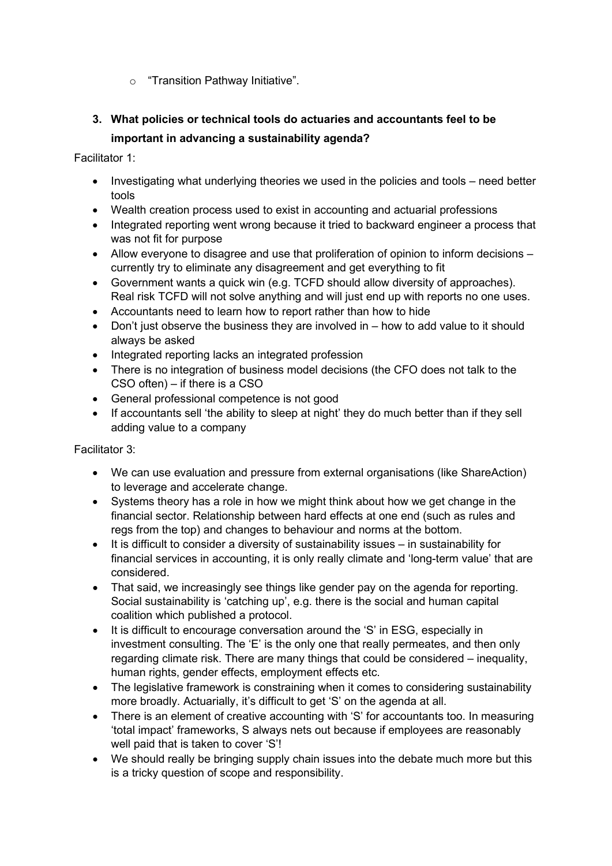o "Transition Pathway Initiative".

# **3. What policies or technical tools do actuaries and accountants feel to be important in advancing a sustainability agenda?**

Facilitator 1:

- Investigating what underlying theories we used in the policies and tools need better tools
- Wealth creation process used to exist in accounting and actuarial professions
- Integrated reporting went wrong because it tried to backward engineer a process that was not fit for purpose
- Allow everyone to disagree and use that proliferation of opinion to inform decisions currently try to eliminate any disagreement and get everything to fit
- Government wants a quick win (e.g. TCFD should allow diversity of approaches). Real risk TCFD will not solve anything and will just end up with reports no one uses.
- Accountants need to learn how to report rather than how to hide
- Don't just observe the business they are involved in how to add value to it should always be asked
- Integrated reporting lacks an integrated profession
- There is no integration of business model decisions (the CFO does not talk to the CSO often) – if there is a CSO
- General professional competence is not good
- If accountants sell 'the ability to sleep at night' they do much better than if they sell adding value to a company

Facilitator 3:

- We can use evaluation and pressure from external organisations (like ShareAction) to leverage and accelerate change.
- Systems theory has a role in how we might think about how we get change in the financial sector. Relationship between hard effects at one end (such as rules and regs from the top) and changes to behaviour and norms at the bottom.
- It is difficult to consider a diversity of sustainability issues in sustainability for financial services in accounting, it is only really climate and 'long-term value' that are considered.
- That said, we increasingly see things like gender pay on the agenda for reporting. Social sustainability is 'catching up', e.g. there is the social and human capital coalition which published a protocol.
- It is difficult to encourage conversation around the 'S' in ESG, especially in investment consulting. The 'E' is the only one that really permeates, and then only regarding climate risk. There are many things that could be considered – inequality, human rights, gender effects, employment effects etc.
- The legislative framework is constraining when it comes to considering sustainability more broadly. Actuarially, it's difficult to get 'S' on the agenda at all.
- There is an element of creative accounting with 'S' for accountants too. In measuring 'total impact' frameworks, S always nets out because if employees are reasonably well paid that is taken to cover 'S'!
- We should really be bringing supply chain issues into the debate much more but this is a tricky question of scope and responsibility.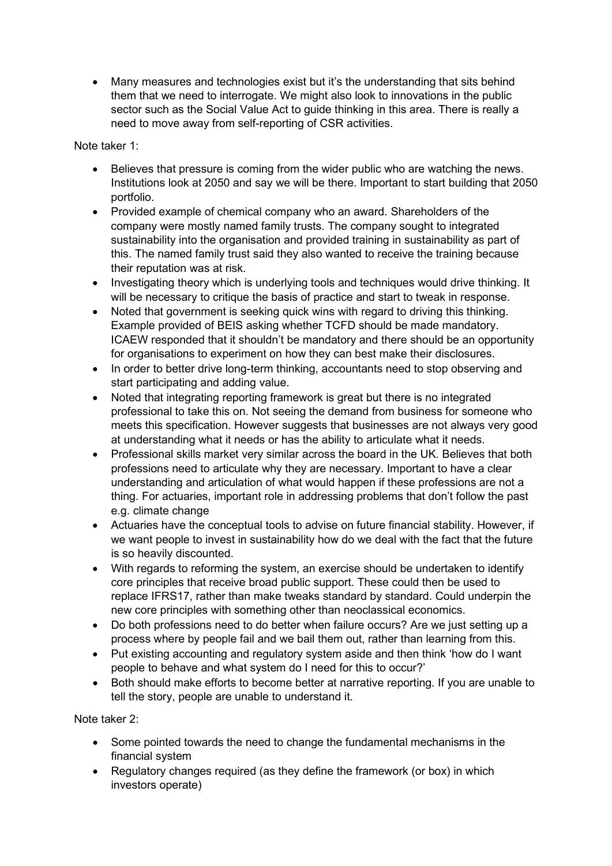• Many measures and technologies exist but it's the understanding that sits behind them that we need to interrogate. We might also look to innovations in the public sector such as the Social Value Act to quide thinking in this area. There is really a need to move away from self-reporting of CSR activities.

Note taker 1:

- Believes that pressure is coming from the wider public who are watching the news. Institutions look at 2050 and say we will be there. Important to start building that 2050 portfolio.
- Provided example of chemical company who an award. Shareholders of the company were mostly named family trusts. The company sought to integrated sustainability into the organisation and provided training in sustainability as part of this. The named family trust said they also wanted to receive the training because their reputation was at risk.
- Investigating theory which is underlying tools and techniques would drive thinking. It will be necessary to critique the basis of practice and start to tweak in response.
- Noted that government is seeking quick wins with regard to driving this thinking. Example provided of BEIS asking whether TCFD should be made mandatory. ICAEW responded that it shouldn't be mandatory and there should be an opportunity for organisations to experiment on how they can best make their disclosures.
- In order to better drive long-term thinking, accountants need to stop observing and start participating and adding value.
- Noted that integrating reporting framework is great but there is no integrated professional to take this on. Not seeing the demand from business for someone who meets this specification. However suggests that businesses are not always very good at understanding what it needs or has the ability to articulate what it needs.
- Professional skills market very similar across the board in the UK. Believes that both professions need to articulate why they are necessary. Important to have a clear understanding and articulation of what would happen if these professions are not a thing. For actuaries, important role in addressing problems that don't follow the past e.g. climate change
- Actuaries have the conceptual tools to advise on future financial stability. However, if we want people to invest in sustainability how do we deal with the fact that the future is so heavily discounted.
- With regards to reforming the system, an exercise should be undertaken to identify core principles that receive broad public support. These could then be used to replace IFRS17, rather than make tweaks standard by standard. Could underpin the new core principles with something other than neoclassical economics.
- Do both professions need to do better when failure occurs? Are we just setting up a process where by people fail and we bail them out, rather than learning from this.
- Put existing accounting and regulatory system aside and then think 'how do I want people to behave and what system do I need for this to occur?'
- Both should make efforts to become better at narrative reporting. If you are unable to tell the story, people are unable to understand it.

Note taker 2:

- Some pointed towards the need to change the fundamental mechanisms in the financial system
- Regulatory changes required (as they define the framework (or box) in which investors operate)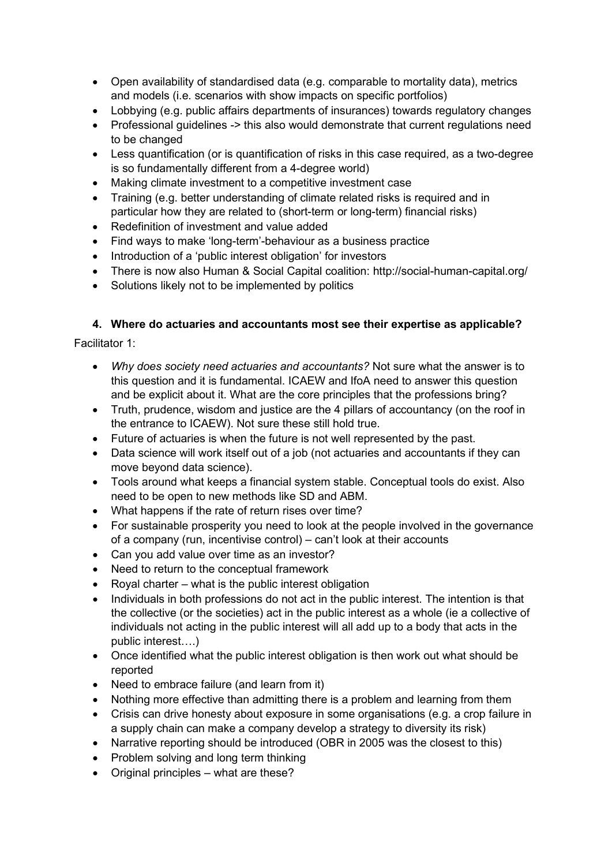- Open availability of standardised data (e.g. comparable to mortality data), metrics and models (i.e. scenarios with show impacts on specific portfolios)
- Lobbying (e.g. public affairs departments of insurances) towards regulatory changes
- Professional guidelines -> this also would demonstrate that current regulations need to be changed
- Less quantification (or is quantification of risks in this case required, as a two-degree is so fundamentally different from a 4-degree world)
- Making climate investment to a competitive investment case
- Training (e.g. better understanding of climate related risks is required and in particular how they are related to (short-term or long-term) financial risks)
- Redefinition of investment and value added
- Find ways to make 'long-term'-behaviour as a business practice
- Introduction of a 'public interest obligation' for investors
- There is now also Human & Social Capital coalition: http://social-human-capital.org/
- Solutions likely not to be implemented by politics

## **4. Where do actuaries and accountants most see their expertise as applicable?**

Facilitator 1:

- *Why does society need actuaries and accountants?* Not sure what the answer is to this question and it is fundamental. ICAEW and IfoA need to answer this question and be explicit about it. What are the core principles that the professions bring?
- Truth, prudence, wisdom and justice are the 4 pillars of accountancy (on the roof in the entrance to ICAEW). Not sure these still hold true.
- Future of actuaries is when the future is not well represented by the past.
- Data science will work itself out of a job (not actuaries and accountants if they can move beyond data science).
- Tools around what keeps a financial system stable. Conceptual tools do exist. Also need to be open to new methods like SD and ABM.
- What happens if the rate of return rises over time?
- For sustainable prosperity you need to look at the people involved in the governance of a company (run, incentivise control) – can't look at their accounts
- Can you add value over time as an investor?
- Need to return to the conceptual framework
- Royal charter what is the public interest obligation
- Individuals in both professions do not act in the public interest. The intention is that the collective (or the societies) act in the public interest as a whole (ie a collective of individuals not acting in the public interest will all add up to a body that acts in the public interest….)
- Once identified what the public interest obligation is then work out what should be reported
- Need to embrace failure (and learn from it)
- Nothing more effective than admitting there is a problem and learning from them
- Crisis can drive honesty about exposure in some organisations (e.g. a crop failure in a supply chain can make a company develop a strategy to diversity its risk)
- Narrative reporting should be introduced (OBR in 2005 was the closest to this)
- Problem solving and long term thinking
- Original principles what are these?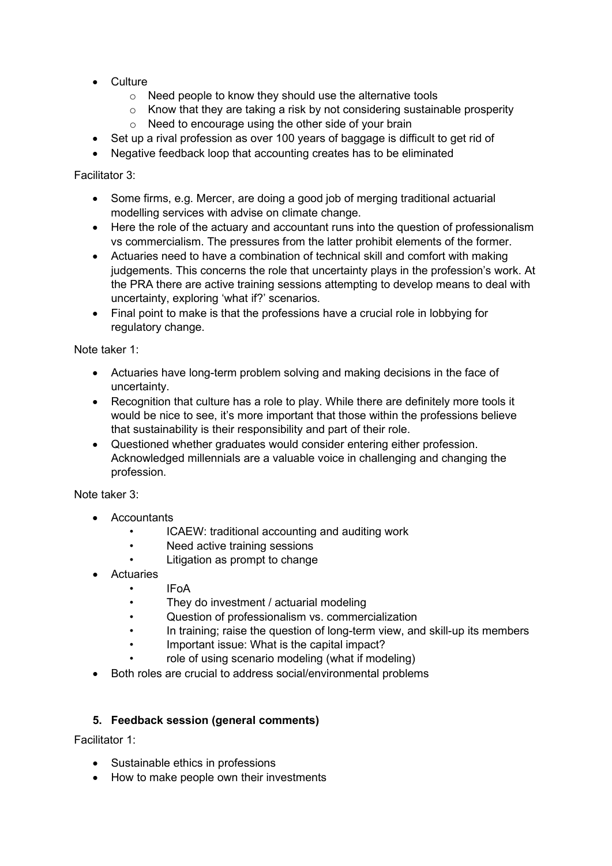- Culture
	- o Need people to know they should use the alternative tools
	- $\circ$  Know that they are taking a risk by not considering sustainable prosperity
	- $\circ$  Need to encourage using the other side of your brain
- Set up a rival profession as over 100 years of baggage is difficult to get rid of
- Negative feedback loop that accounting creates has to be eliminated

#### Facilitator 3:

- Some firms, e.g. Mercer, are doing a good job of merging traditional actuarial modelling services with advise on climate change.
- Here the role of the actuary and accountant runs into the question of professionalism vs commercialism. The pressures from the latter prohibit elements of the former.
- Actuaries need to have a combination of technical skill and comfort with making judgements. This concerns the role that uncertainty plays in the profession's work. At the PRA there are active training sessions attempting to develop means to deal with uncertainty, exploring 'what if?' scenarios.
- Final point to make is that the professions have a crucial role in lobbying for regulatory change.

Note taker 1:

- Actuaries have long-term problem solving and making decisions in the face of uncertainty.
- Recognition that culture has a role to play. While there are definitely more tools it would be nice to see, it's more important that those within the professions believe that sustainability is their responsibility and part of their role.
- Questioned whether graduates would consider entering either profession. Acknowledged millennials are a valuable voice in challenging and changing the profession.

Note taker 3:

- Accountants
	- ICAEW: traditional accounting and auditing work
	- Need active training sessions
	- Litigation as prompt to change
- **Actuaries** 
	- IFoA
	- They do investment / actuarial modeling
	- Question of professionalism vs. commercialization
	- In training; raise the question of long-term view, and skill-up its members
	- Important issue: What is the capital impact?
	- role of using scenario modeling (what if modeling)
- Both roles are crucial to address social/environmental problems

#### **5. Feedback session (general comments)**

Facilitator 1:

- Sustainable ethics in professions
- How to make people own their investments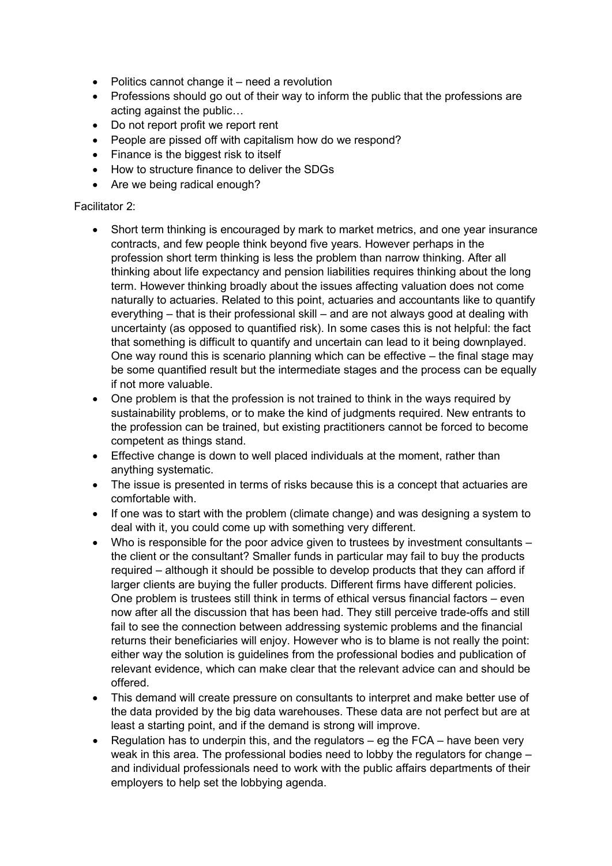- Politics cannot change it need a revolution
- Professions should go out of their way to inform the public that the professions are acting against the public…
- Do not report profit we report rent
- People are pissed off with capitalism how do we respond?
- Finance is the biggest risk to itself
- How to structure finance to deliver the SDGs
- Are we being radical enough?

#### Facilitator 2:

- Short term thinking is encouraged by mark to market metrics, and one year insurance contracts, and few people think beyond five years. However perhaps in the profession short term thinking is less the problem than narrow thinking. After all thinking about life expectancy and pension liabilities requires thinking about the long term. However thinking broadly about the issues affecting valuation does not come naturally to actuaries. Related to this point, actuaries and accountants like to quantify everything – that is their professional skill – and are not always good at dealing with uncertainty (as opposed to quantified risk). In some cases this is not helpful: the fact that something is difficult to quantify and uncertain can lead to it being downplayed. One way round this is scenario planning which can be effective – the final stage may be some quantified result but the intermediate stages and the process can be equally if not more valuable.
- One problem is that the profession is not trained to think in the ways required by sustainability problems, or to make the kind of judgments required. New entrants to the profession can be trained, but existing practitioners cannot be forced to become competent as things stand.
- Effective change is down to well placed individuals at the moment, rather than anything systematic.
- The issue is presented in terms of risks because this is a concept that actuaries are comfortable with.
- If one was to start with the problem (climate change) and was designing a system to deal with it, you could come up with something very different.
- Who is responsible for the poor advice given to trustees by investment consultants the client or the consultant? Smaller funds in particular may fail to buy the products required – although it should be possible to develop products that they can afford if larger clients are buying the fuller products. Different firms have different policies. One problem is trustees still think in terms of ethical versus financial factors – even now after all the discussion that has been had. They still perceive trade-offs and still fail to see the connection between addressing systemic problems and the financial returns their beneficiaries will enjoy. However who is to blame is not really the point: either way the solution is guidelines from the professional bodies and publication of relevant evidence, which can make clear that the relevant advice can and should be offered.
- This demand will create pressure on consultants to interpret and make better use of the data provided by the big data warehouses. These data are not perfect but are at least a starting point, and if the demand is strong will improve.
- Regulation has to underpin this, and the regulators  $-$  eg the FCA  $-$  have been very weak in this area. The professional bodies need to lobby the regulators for change – and individual professionals need to work with the public affairs departments of their employers to help set the lobbying agenda.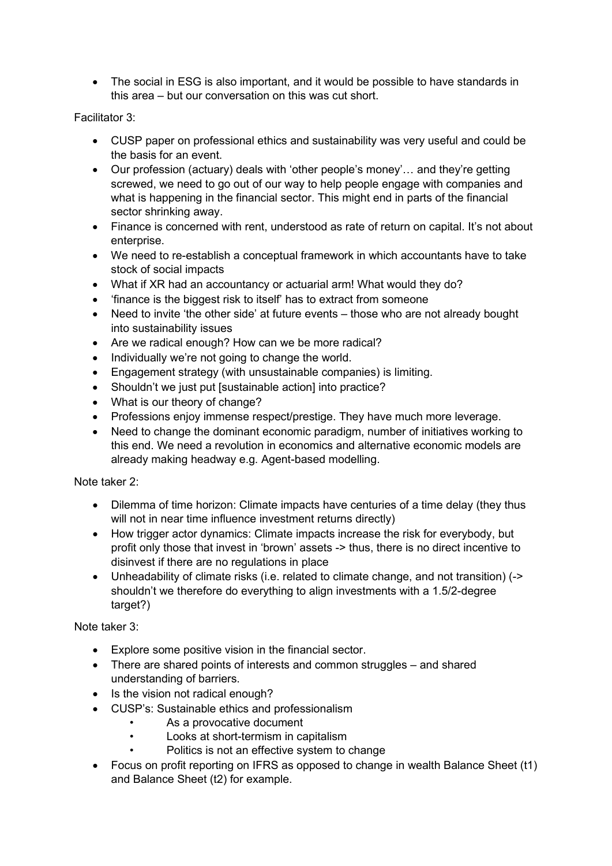• The social in ESG is also important, and it would be possible to have standards in this area – but our conversation on this was cut short.

## Facilitator 3:

- CUSP paper on professional ethics and sustainability was very useful and could be the basis for an event.
- Our profession (actuary) deals with 'other people's money'… and they're getting screwed, we need to go out of our way to help people engage with companies and what is happening in the financial sector. This might end in parts of the financial sector shrinking away.
- Finance is concerned with rent, understood as rate of return on capital. It's not about enterprise.
- We need to re-establish a conceptual framework in which accountants have to take stock of social impacts
- What if XR had an accountancy or actuarial arm! What would they do?
- 'finance is the biggest risk to itself' has to extract from someone
- Need to invite 'the other side' at future events those who are not already bought into sustainability issues
- Are we radical enough? How can we be more radical?
- Individually we're not going to change the world.
- Engagement strategy (with unsustainable companies) is limiting.
- Shouldn't we just put [sustainable action] into practice?
- What is our theory of change?
- Professions enjoy immense respect/prestige. They have much more leverage.
- Need to change the dominant economic paradigm, number of initiatives working to this end. We need a revolution in economics and alternative economic models are already making headway e.g. Agent-based modelling.

Note taker 2:

- Dilemma of time horizon: Climate impacts have centuries of a time delay (they thus will not in near time influence investment returns directly)
- How trigger actor dynamics: Climate impacts increase the risk for everybody, but profit only those that invest in 'brown' assets -> thus, there is no direct incentive to disinvest if there are no regulations in place
- Unheadability of climate risks (i.e. related to climate change, and not transition) (-> shouldn't we therefore do everything to align investments with a 1.5/2-degree target?)

Note taker 3:

- Explore some positive vision in the financial sector.
- There are shared points of interests and common struggles and shared understanding of barriers.
- Is the vision not radical enough?
- CUSP's: Sustainable ethics and professionalism
	- As a provocative document
	- Looks at short-termism in capitalism
	- Politics is not an effective system to change
- Focus on profit reporting on IFRS as opposed to change in wealth Balance Sheet (t1) and Balance Sheet (t2) for example.